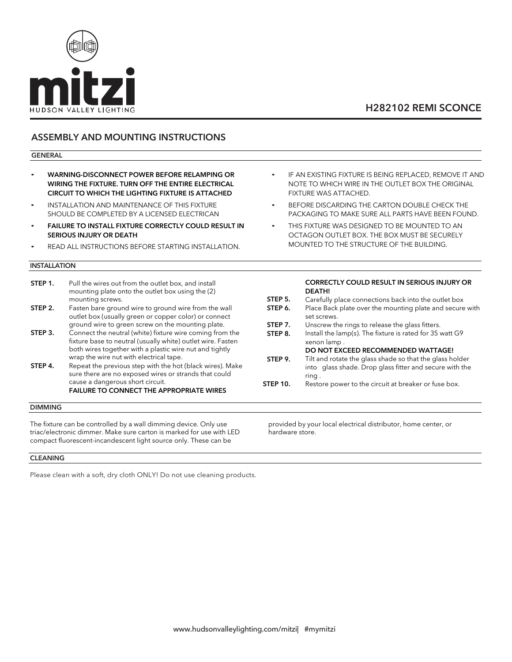

## ASSEMBLY AND MOUNTING INSTRUCTIONS

#### GENERAL

- WARNING-DISCONNECT POWER BEFORE RELAMPING OR WIRING THE FIXTURE. TURN OFF THE ENTIRE ELECTRICAL CIRCUIT TO WHICH THE LIGHTING FIXTURE IS ATTACHED
- INSTALLATION AND MAINTENANCE OF THIS FIXTURE SHOULD BE COMPLETED BY A LICENSED ELECTRICAN
- FAILURE TO INSTALL FIXTURE CORRECTLY COULD RESULT IN SERIOUS INJURY OR DEATH
- READ ALL INSTRUCTIONS BEFORE STARTING INSTALLATION.

#### INSTALLATION

- **STEP 1.** Pull the wires out from the outlet box, and install mounting plate onto the outlet box using the (2) mounting screws.
- **STEP 2.** Fasten bare ground wire to ground wire from the wall outlet box (usually green or copper color) or connect ground wire to green screw on the mounting plate.
- **STEP 3.** Connect the neutral (white) fixture wire coming from the fixture base to neutral (usually white) outlet wire. Fasten both wires together with a plastic wire nut and tightly wrap the wire nut with electrical tape.
- **STEP 4.** Repeat the previous step with the hot (black wires). Make sure there are no exposed wires or strands that could cause a dangerous short circuit. FAILURE TO CONNECT THE APPROPRIATE WIRES

#### DIMMING

The fixture can be controlled by a wall dimming device. Only use triac/electronic dimmer. Make sure carton is marked for use with LED compact fluorescent-incandescent light source only. These can be

#### CLEANING

Please clean with a soft, dry cloth ONLY! Do not use cleaning products.

- IF AN EXISTING FIXTURE IS BEING REPLACED, REMOVE IT AND NOTE TO WHICH WIRE IN THE OUTLET BOX THE ORIGINAL FIXTURE WAS ATTACHED.
- BEFORE DISCARDING THE CARTON DOUBLE CHECK THE PACKAGING TO MAKE SURE ALL PARTS HAVE BEEN FOUND.
- THIS FIXTURE WAS DESIGNED TO BE MOUNTED TO AN OCTAGON OUTLET BOX. THE BOX MUST BE SECURELY MOUNTED TO THE STRUCTURE OF THE BUILDING.

#### CORRECTLY COULD RESULT IN SERIOUS INJURY OR DEATH!

- STEP 5. Carefully place connections back into the outlet box
- STEP 6. Place Back plate over the mounting plate and secure with set screws.
- STEP 7. Unscrew the rings to release the glass fitters.
- STEP 8. Install the lamp(s). The fixture is rated for 35 watt G9 xenon lamp .

DO NOT EXCEED RECOMMENDED WATTAGE!

- STEP 9. Tilt and rotate the glass shade so that the glass holder into glass shade. Drop glass fitter and secure with the ring .
- STEP 10. Restore power to the circuit at breaker or fuse box.

provided by your local electrical distributor, home center, or hardware store.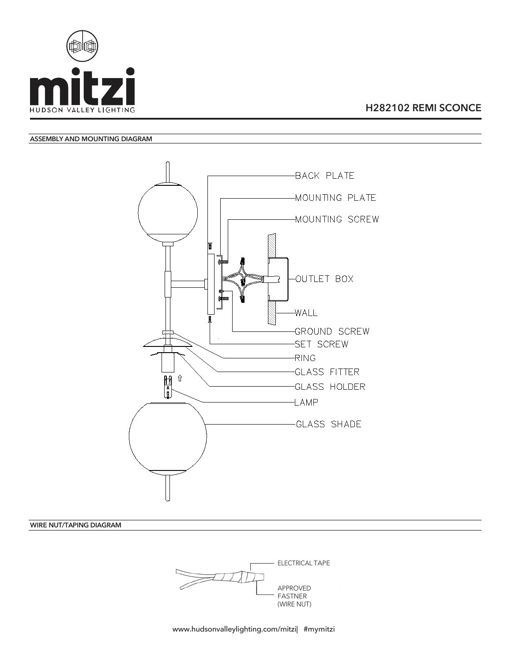

### ASSEMBLY AND MOUNTING DIAGRAM



WIRE NUT/TAPING DIAGRAM

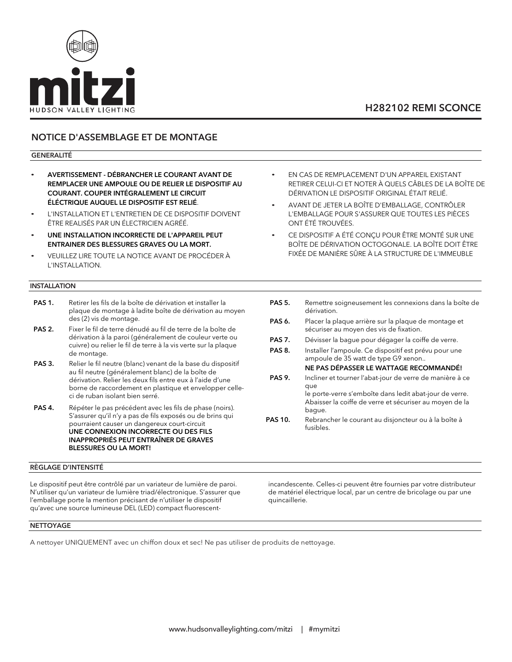

## NOTICE D'ASSEMBLAGE ET DE MONTAGE

### GENERALITÉ

- AVERTISSEMENT DÉBRANCHER LE COURANT AVANT DE REMPLACER UNE AMPOULE OU DE RELIER LE DISPOSITIF AU COURANT. COUPER INTÉGRALEMENT LE CIRCUIT ÉLÉCTRIQUE AUQUEL LE DISPOSITIF EST RELIÉ.
- L'INSTALLATION ET L'ENTRETIEN DE CE DISPOSITIF DOIVENT ÊTRE REALISÉS PAR UN ÉLECTRICIEN AGRÉÉ.
- UNE INSTALLATION INCORRECTE DE L'APPAREIL PEUT ENTRAINER DES BLESSURES GRAVES OU LA MORT.
- VEUILLEZ LIRE TOUTE LA NOTICE AVANT DE PROCÉDER À L'INSTALLATION.

### **INSTALLATION**

- PAS 1. Retirer les fils de la boîte de dérivation et installer la plaque de montage à ladite boîte de dérivation au moyen des (2) vis de montage.
- PAS 2. Fixer le fil de terre dénudé au fil de terre de la boîte de dérivation à la paroi (généralement de couleur verte ou cuivre) ou relier le fil de terre à la vis verte sur la plaque de montage.
- PAS 3. Relier le fil neutre (blanc) venant de la base du dispositif au fil neutre (généralement blanc) de la boîte de dérivation. Relier les deux fils entre eux à l'aide d'une borne de raccordement en plastique et envelopper celleci de ruban isolant bien serré.
- PAS 4. Répéter le pas précédent avec les fils de phase (noirs). S'assurer qu'il n'y a pas de fils exposés ou de brins qui pourraient causer un dangereux court-circuit UNE CONNEXION INCORRECTE OU DES FILS INAPPROPRIÉS PEUT ENTRAÎNER DE GRAVES BLESSURES OU LA MORT!

### RÈGLAGE D'INTENSITÉ

Le dispositif peut être contrôlé par un variateur de lumière de paroi. N'utiliser qu'un variateur de lumière triad/électronique. S'assurer que l'emballage porte la mention précisant de n'utiliser le dispositif qu'avec une source lumineuse DEL (LED) compact fluorescent-

- EN CAS DE REMPLACEMENT D'UN APPAREIL EXISTANT RETIRER CELUI-CI ET NOTER À QUELS CÂBLES DE LA BOÎTE DE DÉRIVATION LE DISPOSITIF ORIGINAL ÉTAIT RELIÉ.
- AVANT DE JETER LA BOÎTE D'EMBALLAGE, CONTRÔLER L'EMBALLAGE POUR S'ASSURER QUE TOUTES LES PIÈCES ONT ÉTÉ TROUVÉES.
- CE DISPOSITIF A ÉTÉ CONÇU POUR ÊTRE MONTÉ SUR UNE BOÎTE DE DÉRIVATION OCTOGONALE. LA BOÎTE DOIT ÊTRE FIXÉE DE MANIÈRE SÛRE À LA STRUCTURE DE L'IMMEUBLE
- PAS 5. Remettre soigneusement les connexions dans la boîte de dérivation.
- PAS 6. Placer la plaque arrière sur la plaque de montage et sécuriser au moyen des vis de fixation.
- PAS 7. Dévisser la bague pour dégager la coiffe de verre.
- PAS 8. Installer l'ampoule. Ce dispositif est prévu pour une ampoule de 35 watt de type G9 xenon..

#### NE PAS DÉPASSER LE WATTAGE RECOMMANDÉ!

- PAS 9. Incliner et tourner l'abat-jour de verre de manière à ce que le porte-verre s'emboîte dans ledit abat-jour de verre.
- Abaisser la coiffe de verre et sécuriser au moyen de la bague.
- PAS 10. Rebrancher le courant au disjoncteur ou à la boîte à fusibles.

incandescente. Celles-ci peuvent être fournies par votre distributeur de matériel électrique local, par un centre de bricolage ou par une quincaillerie.

#### NETTOYAGE

A nettoyer UNIQUEMENT avec un chiffon doux et sec! Ne pas utiliser de produits de nettoyage.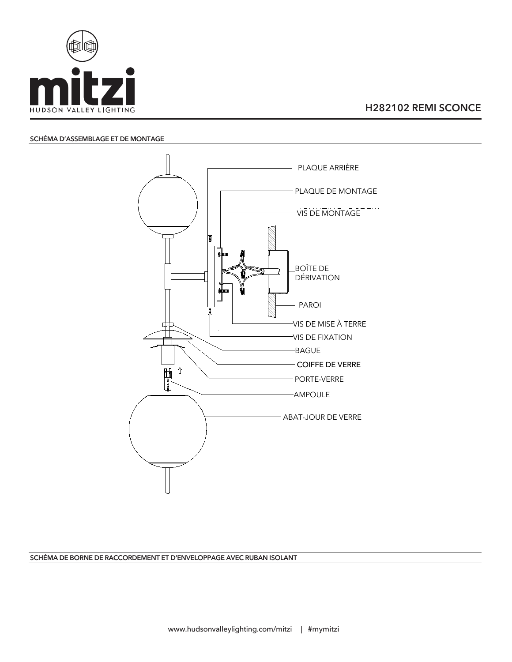

### SCHÉMA D'ASSEMBLAGE ET DE MONTAGE



## SCHÉMA DE BORNE DE RACCORDEMENT ET D'ENVELOPPAGE AVEC RUBAN ISOLANT